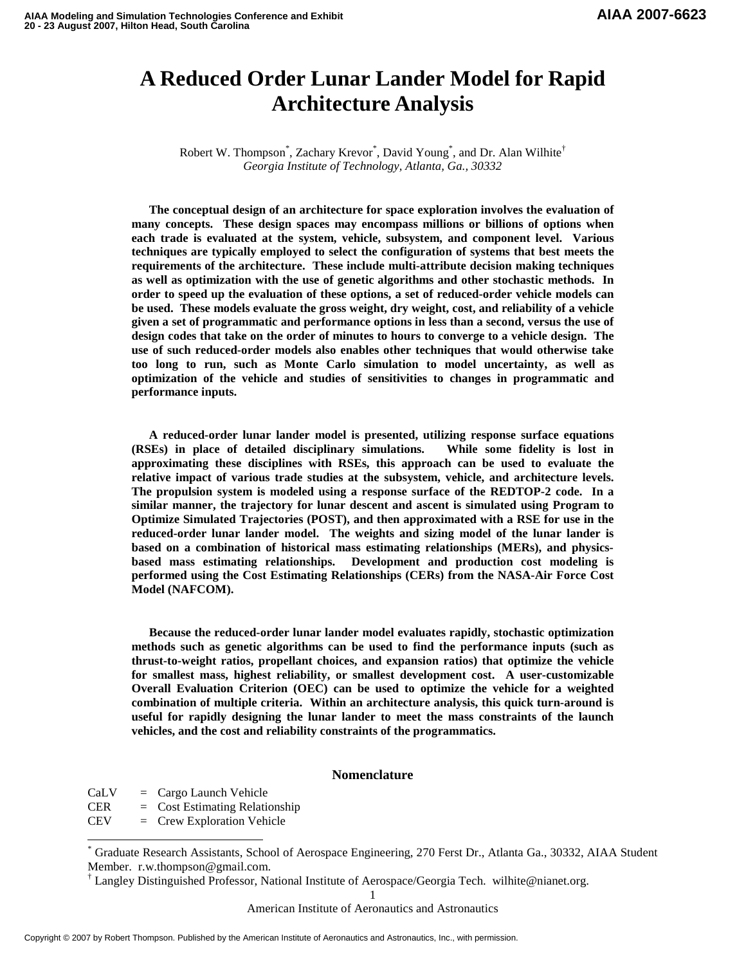# **A Reduced Order Lunar Lander Model for Rapid Architecture Analysis**

Robert W. Thompson<sup>\*</sup>, Zachary Krevor<sup>\*</sup>, David Young<sup>\*</sup>, and Dr. Alan Wilhite<sup>†</sup> *Georgia Institute of Technology, Atlanta, Ga., 30332*

**The conceptual design of an architecture for space exploration involves the evaluation of many concepts. These design spaces may encompass millions or billions of options when each trade is evaluated at the system, vehicle, subsystem, and component level. Various techniques are typically employed to select the configuration of systems that best meets the requirements of the architecture. These include multi-attribute decision making techniques as well as optimization with the use of genetic algorithms and other stochastic methods. In order to speed up the evaluation of these options, a set of reduced-order vehicle models can be used. These models evaluate the gross weight, dry weight, cost, and reliability of a vehicle given a set of programmatic and performance options in less than a second, versus the use of design codes that take on the order of minutes to hours to converge to a vehicle design. The use of such reduced-order models also enables other techniques that would otherwise take too long to run, such as Monte Carlo simulation to model uncertainty, as well as optimization of the vehicle and studies of sensitivities to changes in programmatic and performance inputs.**

**A reduced-order lunar lander model is presented, utilizing response surface equations (RSEs) in place of detailed disciplinary simulations. While some fidelity is lost in approximating these disciplines with RSEs, this approach can be used to evaluate the relative impact of various trade studies at the subsystem, vehicle, and architecture levels. The propulsion system is modeled using a response surface of the REDTOP-2 code. In a similar manner, the trajectory for lunar descent and ascent is simulated using Program to Optimize Simulated Trajectories (POST), and then approximated with a RSE for use in the reduced-order lunar lander model. The weights and sizing model of the lunar lander is based on a combination of historical mass estimating relationships (MERs), and physicsbased mass estimating relationships. Development and production cost modeling is performed using the Cost Estimating Relationships (CERs) from the NASA-Air Force Cost Model (NAFCOM).**

**Because the reduced-order lunar lander model evaluates rapidly, stochastic optimization methods such as genetic algorithms can be used to find the performance inputs (such as thrust-to-weight ratios, propellant choices, and expansion ratios) that optimize the vehicle for smallest mass, highest reliability, or smallest development cost. A user-customizable Overall Evaluation Criterion (OEC) can be used to optimize the vehicle for a weighted combination of multiple criteria. Within an architecture analysis, this quick turn-around is useful for rapidly designing the lunar lander to meet the mass constraints of the launch vehicles, and the cost and reliability constraints of the programmatics.**

## **Nomenclature**

- $CER = \text{Cost Estimating Relationship}$
- CEV = Crew Exploration Vehicle

1

American Institute of Aeronautics and Astronautics

<sup>\*</sup> Graduate Research Assistants, School of Aerospace Engineering, 270 Ferst Dr., Atlanta Ga., 30332, AIAA Student Member. r.w.thompson@gmail.com.<br><sup>†</sup> Langley Distinguished Professor, National Institute of Aerospace/Georgia Tech. wilhite@nianet.org.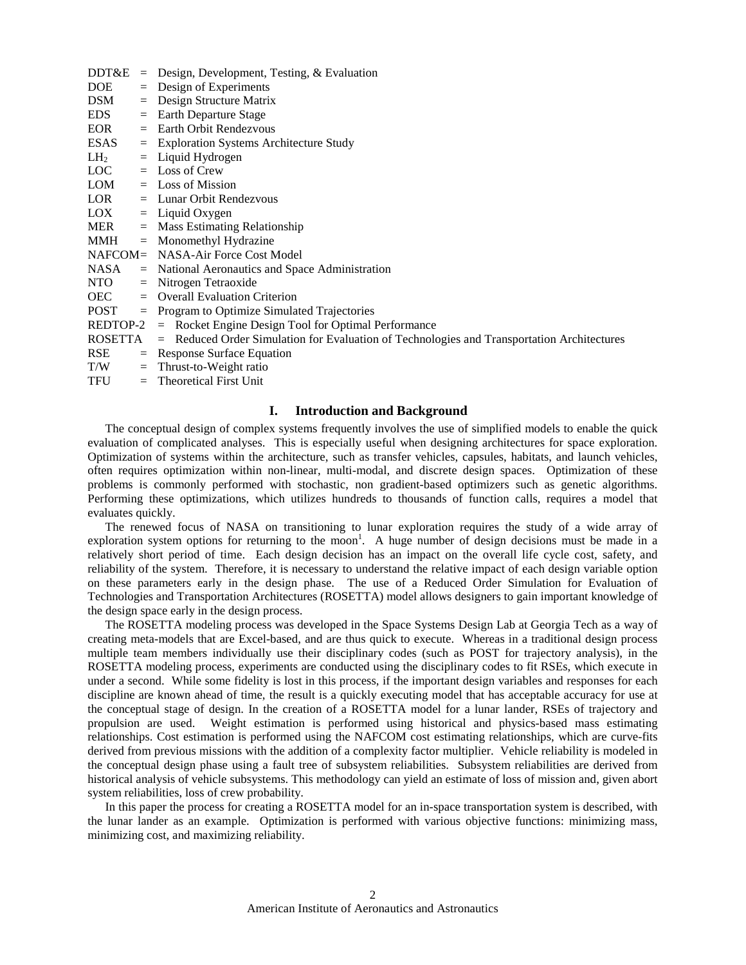| DDT&E          | $=$      | Design, Development, Testing, & Evaluation                                                 |
|----------------|----------|--------------------------------------------------------------------------------------------|
| DOE            | $=$      | Design of Experiments                                                                      |
| DSM            | $=$      | Design Structure Matrix                                                                    |
| EDS            | $\equiv$ | Earth Departure Stage                                                                      |
| EOR            |          | $=$ Earth Orbit Rendezvous                                                                 |
| ESAS           | $=$      | <b>Exploration Systems Architecture Study</b>                                              |
| $LH_2$         |          | $=$ Liquid Hydrogen                                                                        |
| LOC .          |          | $=$ Loss of Crew                                                                           |
| LOM            |          | $=$ Loss of Mission                                                                        |
| LOR            |          | $=$ Lunar Orbit Rendezvous                                                                 |
| LOX            |          | $=$ Liquid Oxygen                                                                          |
| <b>MER</b>     |          | $=$ Mass Estimating Relationship                                                           |
| MMH            |          | $=$ Monomethyl Hydrazine                                                                   |
| $NAFCOM=$      |          | NASA-Air Force Cost Model                                                                  |
| NASA           |          | $=$ National Aeronautics and Space Administration                                          |
| NTO            | $=$      | Nitrogen Tetraoxide                                                                        |
| <b>OEC</b>     |          | $=$ Overall Evaluation Criterion                                                           |
| POST           |          | $=$ Program to Optimize Simulated Trajectories                                             |
|                |          | REDTOP-2 = Rocket Engine Design Tool for Optimal Performance                               |
| <b>ROSETTA</b> |          | = Reduced Order Simulation for Evaluation of Technologies and Transportation Architectures |
| <b>RSE</b>     | $\equiv$ | Response Surface Equation                                                                  |
| T/W            | $=$      | Thrust-to-Weight ratio                                                                     |
| <b>TFU</b>     |          | $=$ Theoretical First Unit                                                                 |

## **I. Introduction and Background**

The conceptual design of complex systems frequently involves the use of simplified models to enable the quick evaluation of complicated analyses. This is especially useful when designing architectures for space exploration. Optimization of systems within the architecture, such as transfer vehicles, capsules, habitats, and launch vehicles, often requires optimization within non-linear, multi-modal, and discrete design spaces. Optimization of these problems is commonly performed with stochastic, non gradient-based optimizers such as genetic algorithms. Performing these optimizations, which utilizes hundreds to thousands of function calls, requires a model that evaluates quickly.

The renewed focus of NASA on transitioning to lunar exploration requires the study of a wide array of exploration system options for returning to the moon<sup>1</sup>. A huge number of design decisions must be made in a relatively short period of time. Each design decision has an impact on the overall life cycle cost, safety, and reliability of the system. Therefore, it is necessary to understand the relative impact of each design variable option on these parameters early in the design phase. The use of a Reduced Order Simulation for Evaluation of Technologies and Transportation Architectures (ROSETTA) model allows designers to gain important knowledge of the design space early in the design process.

The ROSETTA modeling process was developed in the Space Systems Design Lab at Georgia Tech as a way of creating meta-models that are Excel-based, and are thus quick to execute. Whereas in a traditional design process multiple team members individually use their disciplinary codes (such as POST for trajectory analysis), in the ROSETTA modeling process, experiments are conducted using the disciplinary codes to fit RSEs, which execute in under a second. While some fidelity is lost in this process, if the important design variables and responses for each discipline are known ahead of time, the result is a quickly executing model that has acceptable accuracy for use at the conceptual stage of design. In the creation of a ROSETTA model for a lunar lander, RSEs of trajectory and propulsion are used. Weight estimation is performed using historical and physics-based mass estimating relationships. Cost estimation is performed using the NAFCOM cost estimating relationships, which are curve-fits derived from previous missions with the addition of a complexity factor multiplier. Vehicle reliability is modeled in the conceptual design phase using a fault tree of subsystem reliabilities. Subsystem reliabilities are derived from historical analysis of vehicle subsystems. This methodology can yield an estimate of loss of mission and, given abort system reliabilities, loss of crew probability.

In this paper the process for creating a ROSETTA model for an in-space transportation system is described, with the lunar lander as an example. Optimization is performed with various objective functions: minimizing mass, minimizing cost, and maximizing reliability.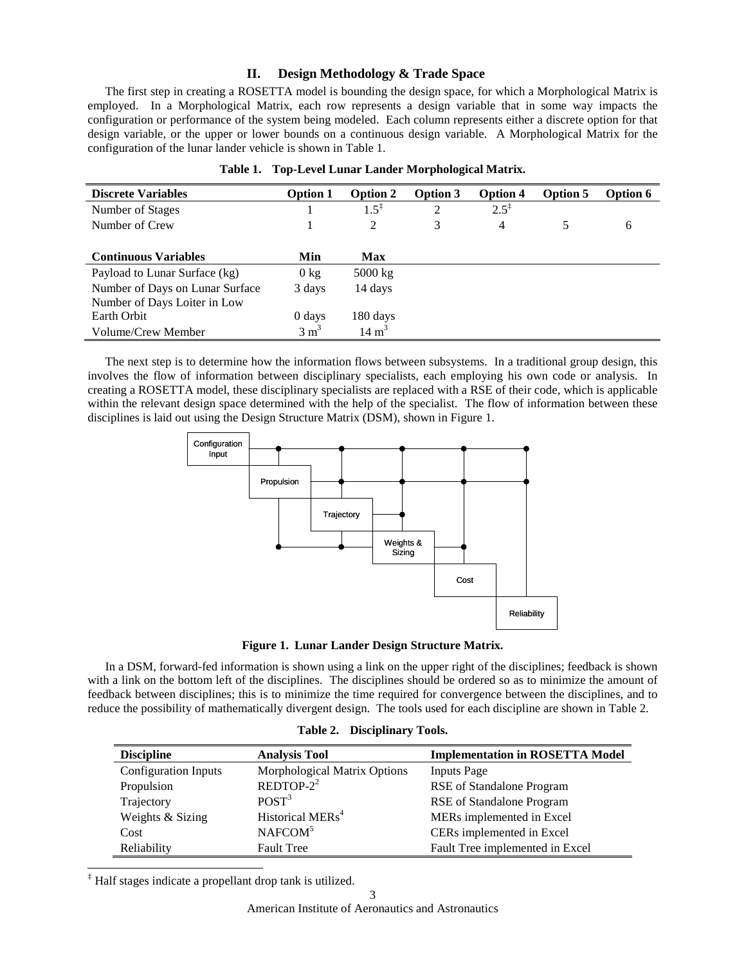## **II. Design Methodology & Trade Space**

The first step in creating a ROSETTA model is bounding the design space, for which a Morphological Matrix is employed. In a Morphological Matrix, each row represents a design variable that in some way impacts the configuration or performance of the system being modeled. Each column represents either a discrete option for that design variable, or the upper or lower bounds on a continuous design variable. A Morphological Matrix for the configuration of the lunar lander vehicle is shown in Table 1.

| <b>Discrete Variables</b>       | <b>Option 1</b> | <b>Option 2</b>   | Option 3 | <b>Option 4</b>  | Option 5 | Option 6 |
|---------------------------------|-----------------|-------------------|----------|------------------|----------|----------|
| Number of Stages                |                 | $1.5^{\ddagger}$  | 2        | $2.5^{\ddagger}$ |          |          |
| Number of Crew                  |                 | 2                 | 3        | 4                | 5        | 6        |
|                                 |                 |                   |          |                  |          |          |
| <b>Continuous Variables</b>     | Min             | <b>Max</b>        |          |                  |          |          |
| Payload to Lunar Surface (kg)   | $0 \text{ kg}$  | $5000 \text{ kg}$ |          |                  |          |          |
| Number of Days on Lunar Surface | 3 days          | 14 days           |          |                  |          |          |
| Number of Days Loiter in Low    |                 |                   |          |                  |          |          |
| Earth Orbit                     | 0 days          | 180 days          |          |                  |          |          |
| Volume/Crew Member              | $3 \text{ m}^3$ | $14 \text{ m}^3$  |          |                  |          |          |

**Table 1. Top-Level Lunar Lander Morphological Matrix.**

The next step is to determine how the information flows between subsystems. In a traditional group design, this involves the flow of information between disciplinary specialists, each employing his own code or analysis. In creating a ROSETTA model, these disciplinary specialists are replaced with a RSE of their code, which is applicable within the relevant design space determined with the help of the specialist. The flow of information between these disciplines is laid out using the Design Structure Matrix (DSM), shown in Figure 1.



**Figure 1. Lunar Lander Design Structure Matrix.**

In a DSM, forward-fed information is shown using a link on the upper right of the disciplines; feedback is shown with a link on the bottom left of the disciplines. The disciplines should be ordered so as to minimize the amount of feedback between disciplines; this is to minimize the time required for convergence between the disciplines, and to reduce the possibility of mathematically divergent design. The tools used for each discipline are shown in Table 2.

| Table 2. | <b>Disciplinary Tools.</b> |  |
|----------|----------------------------|--|
|----------|----------------------------|--|

| <b>Discipline</b>           | <b>Analysis Tool</b>         | <b>Implementation in ROSETTA Model</b> |
|-----------------------------|------------------------------|----------------------------------------|
| <b>Configuration Inputs</b> | Morphological Matrix Options | <b>Inputs Page</b>                     |
| Propulsion                  | $REDTOP-2^2$                 | RSE of Standalone Program              |
| Trajectory                  | POST <sup>3</sup>            | RSE of Standalone Program              |
| Weights & Sizing            | Historical MERs <sup>4</sup> | MERs implemented in Excel              |
| Cost                        | NAFCOM <sup>5</sup>          | CERs implemented in Excel              |
| Reliability                 | <b>Fault Tree</b>            | Fault Tree implemented in Excel        |

‡ Half stages indicate a propellant drop tank is utilized.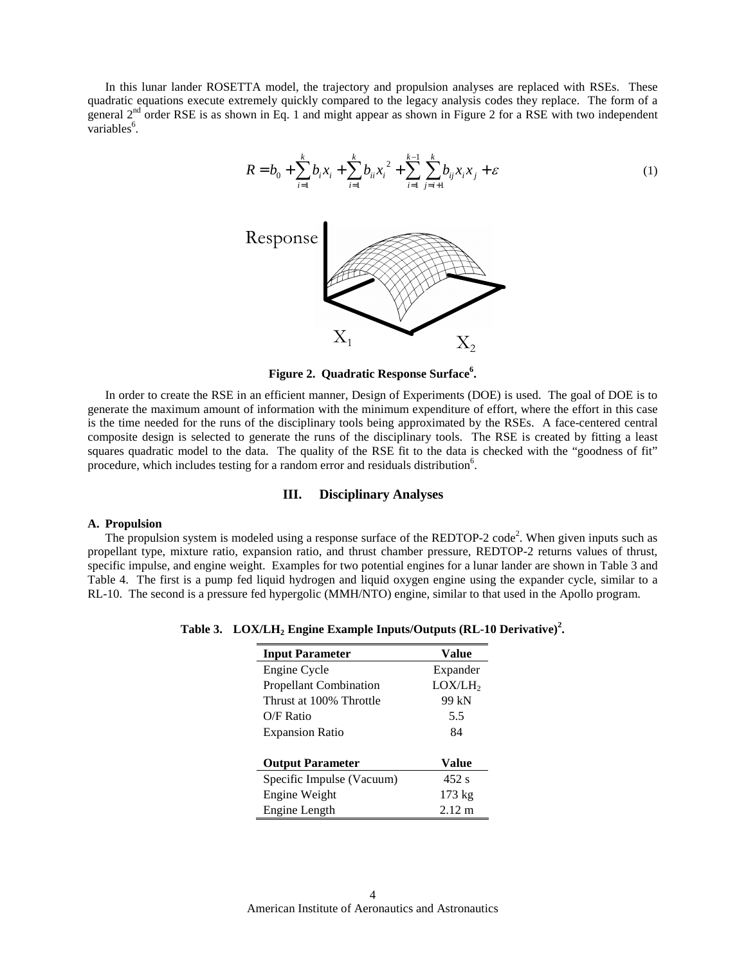In this lunar lander ROSETTA model, the trajectory and propulsion analyses are replaced with RSEs. These quadratic equations execute extremely quickly compared to the legacy analysis codes they replace. The form of a general  $2<sup>nd</sup>$  order RSE is as shown in Eq. 1 and might appear as shown in Figure 2 for a RSE with two independent variables<sup>6</sup>.

$$
R = b_0 + \sum_{i=1}^{k} b_i x_i + \sum_{i=1}^{k} b_{ii} x_i^2 + \sum_{i=1}^{k-1} \sum_{j=i+1}^{k} b_{ij} x_i x_j + \varepsilon
$$
 (1)



**Figure 2. Quadratic Response Surface 6 .**

In order to create the RSE in an efficient manner, Design of Experiments (DOE) is used. The goal of DOE is to generate the maximum amount of information with the minimum expenditure of effort, where the effort in this case is the time needed for the runs of the disciplinary tools being approximated by the RSEs. A face-centered central composite design is selected to generate the runs of the disciplinary tools. The RSE is created by fitting a least squares quadratic model to the data. The quality of the RSE fit to the data is checked with the "goodness of fit" procedure, which includes testing for a random error and residuals distribution<sup>6</sup>.

## **III. Disciplinary Analyses**

#### **A. Propulsion**

The propulsion system is modeled using a response surface of the REDTOP-2 code<sup>2</sup>. When given inputs such as propellant type, mixture ratio, expansion ratio, and thrust chamber pressure, REDTOP-2 returns values of thrust, specific impulse, and engine weight. Examples for two potential engines for a lunar lander are shown in Table 3 and Table 4. The first is a pump fed liquid hydrogen and liquid oxygen engine using the expander cycle, similar to a RL-10. The second is a pressure fed hypergolic (MMH/NTO) engine, similar to that used in the Apollo program.

|  |  |  |  | Table 3. LOX/LH <sub>2</sub> Engine Example Inputs/Outputs (RL-10 Derivative) <sup>2</sup> . |  |  |
|--|--|--|--|----------------------------------------------------------------------------------------------|--|--|
|--|--|--|--|----------------------------------------------------------------------------------------------|--|--|

| <b>Input Parameter</b>        | <b>Value</b>        |
|-------------------------------|---------------------|
| Engine Cycle                  | Expander            |
| <b>Propellant Combination</b> | LOX/LH <sub>2</sub> |
| Thrust at 100% Throttle       | 99 kN               |
| $O/F$ Ratio                   | 5.5                 |
| <b>Expansion Ratio</b>        | 84                  |
|                               |                     |
| <b>Output Parameter</b>       | <b>Value</b>        |
| Specific Impulse (Vacuum)     | 452 s               |
| Engine Weight                 | $173 \text{ kg}$    |
| Engine Length                 | $2.12 \text{ m}$    |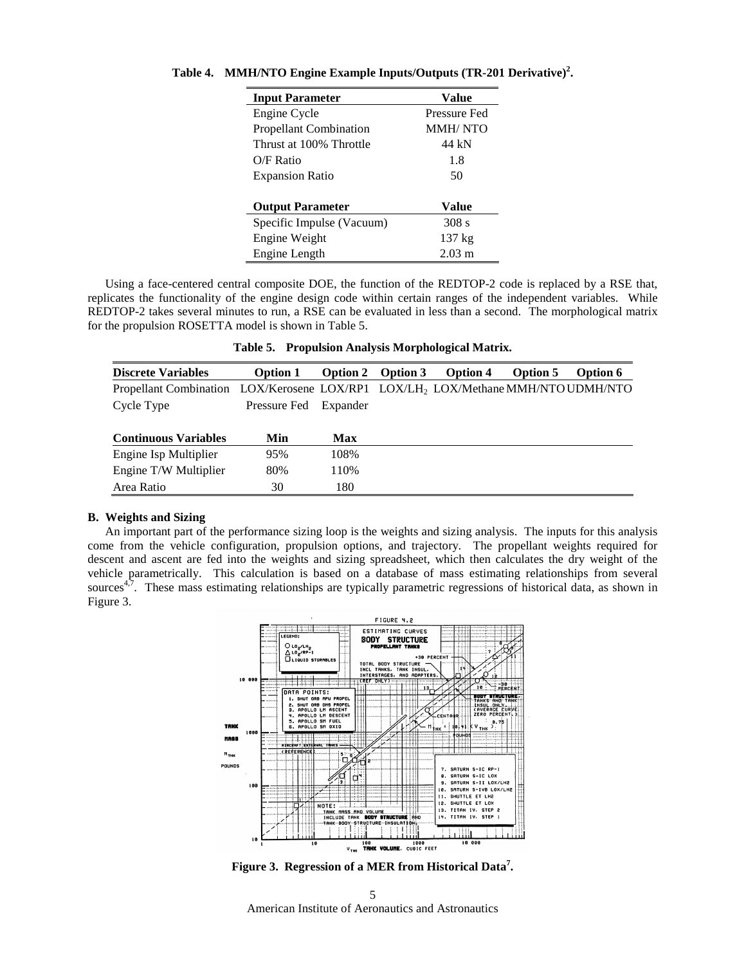| <b>Input Parameter</b>        | Value            |
|-------------------------------|------------------|
| Engine Cycle                  | Pressure Fed     |
| <b>Propellant Combination</b> | <b>MMH/NTO</b>   |
| Thrust at 100% Throttle       | 44 kN            |
| $O/F$ Ratio                   | 1.8              |
| <b>Expansion Ratio</b>        | 50               |
|                               |                  |
| <b>Output Parameter</b>       | Value            |
| Specific Impulse (Vacuum)     | 308 s            |
| Engine Weight                 | $137 \text{ kg}$ |
| Engine Length                 | $2.03 \text{ m}$ |

## **Table 4. MMH/NTO Engine Example Inputs/Outputs (TR-201 Derivative) 2 .**

Using a face-centered central composite DOE, the function of the REDTOP-2 code is replaced by a RSE that, replicates the functionality of the engine design code within certain ranges of the independent variables. While REDTOP-2 takes several minutes to run, a RSE can be evaluated in less than a second. The morphological matrix for the propulsion ROSETTA model is shown in Table 5.

| Table 5. Propulsion Analysis Morphological Matrix. |  |
|----------------------------------------------------|--|
|----------------------------------------------------|--|

| <b>Discrete Variables</b>                                                                    | <b>Option 1</b>       |      | Option 2 Option 3 | <b>Option 4</b> | Option 5 | Option 6 |
|----------------------------------------------------------------------------------------------|-----------------------|------|-------------------|-----------------|----------|----------|
| Propellant Combination LOX/Kerosene LOX/RP1 LOX/LH <sub>2</sub> LOX/Methane MMH/NTO UDMH/NTO |                       |      |                   |                 |          |          |
| Cycle Type                                                                                   | Pressure Fed Expander |      |                   |                 |          |          |
| <b>Continuous Variables</b>                                                                  | Min                   | Max  |                   |                 |          |          |
| Engine Isp Multiplier                                                                        | 95%                   | 108% |                   |                 |          |          |
| Engine T/W Multiplier                                                                        | 80%                   | 110% |                   |                 |          |          |
| Area Ratio                                                                                   | 30                    | 180  |                   |                 |          |          |

## **B. Weights and Sizing**

An important part of the performance sizing loop is the weights and sizing analysis. The inputs for this analysis come from the vehicle configuration, propulsion options, and trajectory. The propellant weights required for descent and ascent are fed into the weights and sizing spreadsheet, which then calculates the dry weight of the vehicle parametrically. This calculation is based on a database of mass estimating relationships from several sources<sup>4,7</sup>. These mass estimating relationships are typically parametric regressions of historical data, as shown in Figure 3.



**Figure 3. Regression of a MER from Historical Data<sup>7</sup> .**

5 American Institute of Aeronautics and Astronautics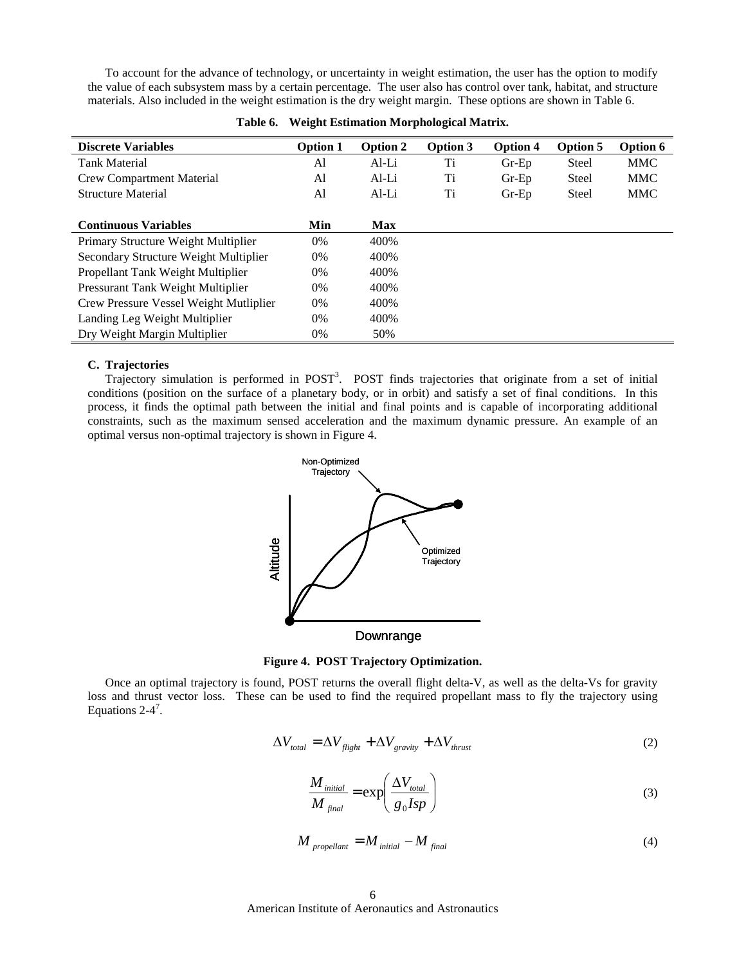To account for the advance of technology, or uncertainty in weight estimation, the user has the option to modify the value of each subsystem mass by a certain percentage. The user also has control over tank, habitat, and structure materials. Also included in the weight estimation is the dry weight margin. These options are shown in Table 6.

| <b>Discrete Variables</b>              | <b>Option 1</b> | Option 2   | Option 3 | <b>Option 4</b> | <b>Option 5</b> | Option 6   |
|----------------------------------------|-----------------|------------|----------|-----------------|-----------------|------------|
| <b>Tank Material</b>                   | Al              | $Al-Li$    | Ti       | $Gr-Ep$         | <b>Steel</b>    | <b>MMC</b> |
| <b>Crew Compartment Material</b>       | Al              | $Al-Li$    | Ti       | $Gr-Ep$         | <b>Steel</b>    | <b>MMC</b> |
| <b>Structure Material</b>              | Al              | $Al-Li$    | Ti       | $Gr-Ep$         | <b>Steel</b>    | <b>MMC</b> |
|                                        |                 |            |          |                 |                 |            |
| <b>Continuous Variables</b>            | Min             | <b>Max</b> |          |                 |                 |            |
| Primary Structure Weight Multiplier    | $0\%$           | 400\%      |          |                 |                 |            |
| Secondary Structure Weight Multiplier  | $0\%$           | 400\%      |          |                 |                 |            |
| Propellant Tank Weight Multiplier      | $0\%$           | 400%       |          |                 |                 |            |
| Pressurant Tank Weight Multiplier      | $0\%$           | 400%       |          |                 |                 |            |
| Crew Pressure Vessel Weight Mutliplier | $0\%$           | 400\%      |          |                 |                 |            |
| Landing Leg Weight Multiplier          | $0\%$           | 400%       |          |                 |                 |            |
| Dry Weight Margin Multiplier           | 0%              | 50%        |          |                 |                 |            |

**Table 6. Weight Estimation Morphological Matrix.**

## **C. Trajectories**

Trajectory simulation is performed in POST<sup>3</sup>. POST finds trajectories that originate from a set of initial conditions (position on the surface of a planetary body, or in orbit) and satisfy a set of final conditions. In this process, it finds the optimal path between the initial and final points and is capable of incorporating additional constraints, such as the maximum sensed acceleration and the maximum dynamic pressure. An example of an optimal versus non-optimal trajectory is shown in Figure 4.





Once an optimal trajectory is found, POST returns the overall flight delta-V, as well as the delta-Vs for gravity loss and thrust vector loss. These can be used to find the required propellant mass to fly the trajectory using Equations  $2-4^7$ .

$$
\Delta V_{total} = \Delta V_{flight} + \Delta V_{gravity} + \Delta V_{thrust} \tag{2}
$$

$$
\frac{M_{initial}}{M_{final}} = \exp\left(\frac{\Delta V_{total}}{g_0 I s p}\right)
$$
\n(3)

$$
M_{\text{propellant}} = M_{\text{initial}} - M_{\text{final}} \tag{4}
$$

6 American Institute of Aeronautics and Astronautics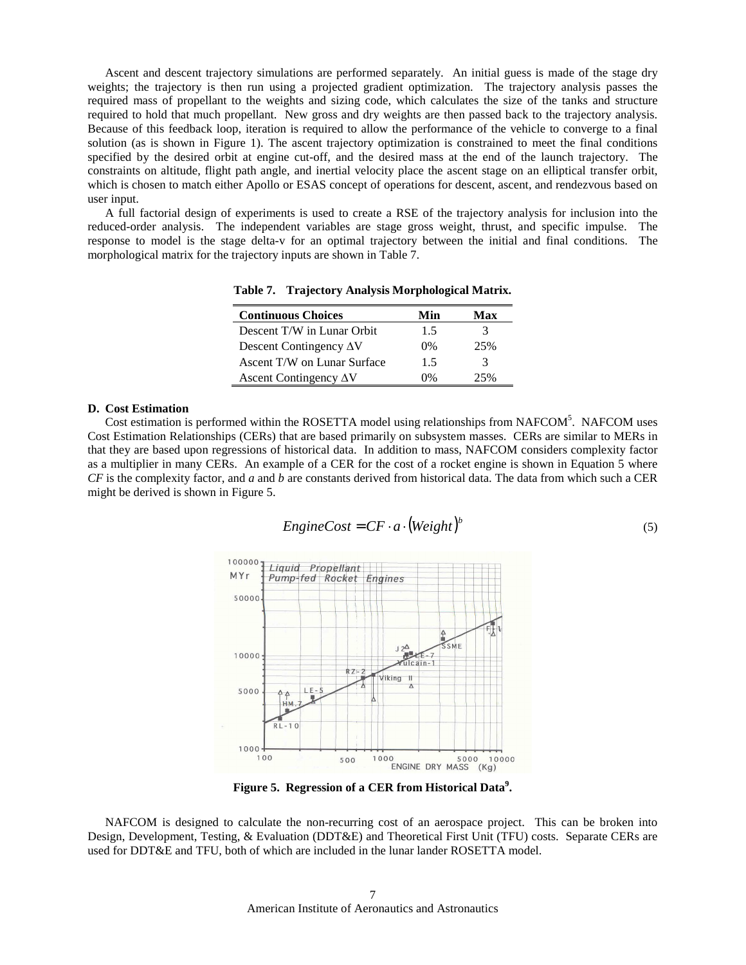Ascent and descent trajectory simulations are performed separately. An initial guess is made of the stage dry weights; the trajectory is then run using a projected gradient optimization. The trajectory analysis passes the required mass of propellant to the weights and sizing code, which calculates the size of the tanks and structure required to hold that much propellant. New gross and dry weights are then passed back to the trajectory analysis. Because of this feedback loop, iteration is required to allow the performance of the vehicle to converge to a final solution (as is shown in Figure 1). The ascent trajectory optimization is constrained to meet the final conditions specified by the desired orbit at engine cut-off, and the desired mass at the end of the launch trajectory. The constraints on altitude, flight path angle, and inertial velocity place the ascent stage on an elliptical transfer orbit, which is chosen to match either Apollo or ESAS concept of operations for descent, ascent, and rendezvous based on user input.

A full factorial design of experiments is used to create a RSE of the trajectory analysis for inclusion into the reduced-order analysis. The independent variables are stage gross weight, thrust, and specific impulse. The response to model is the stage delta-v for an optimal trajectory between the initial and final conditions. The morphological matrix for the trajectory inputs are shown in Table 7.

**Table 7. Trajectory Analysis Morphological Matrix.**

| <b>Continuous Choices</b>      | Min   | Max |
|--------------------------------|-------|-----|
| Descent T/W in Lunar Orbit     | 1.5   | 3   |
| Descent Contingency $\Delta V$ | $0\%$ | 25% |
| Ascent T/W on Lunar Surface    | 1.5   | 3   |
| Ascent Contingency $\Delta V$  | 0%    | 25% |

#### **D. Cost Estimation**

Cost estimation is performed within the ROSETTA model using relationships from NAFCOM<sup>5</sup>. NAFCOM uses Cost Estimation Relationships (CERs) that are based primarily on subsystem masses. CERs are similar to MERs in that they are based upon regressions of historical data. In addition to mass, NAFCOM considers complexity factor as a multiplier in many CERs. An example of a CER for the cost of a rocket engine is shown in Equation 5 where *CF* is the complexity factor, and *a* and *b* are constants derived from historical data. The data from which such a CER might be derived is shown in Figure 5.

$$
EngineeringCost = CF \cdot a \cdot (Weight)^b \tag{5}
$$



**Figure 5. Regression of a CER from Historical Data<sup>9</sup> .**

NAFCOM is designed to calculate the non-recurring cost of an aerospace project. This can be broken into Design, Development, Testing, & Evaluation (DDT&E) and Theoretical First Unit (TFU) costs. Separate CERs are used for DDT&E and TFU, both of which are included in the lunar lander ROSETTA model.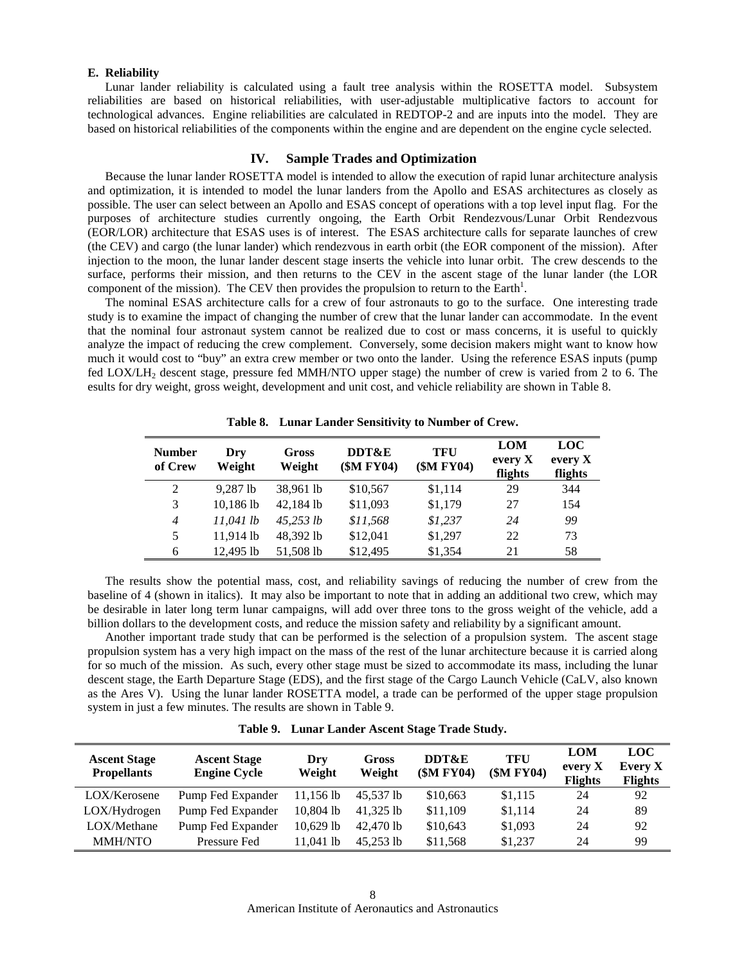## **E. Reliability**

Lunar lander reliability is calculated using a fault tree analysis within the ROSETTA model. Subsystem reliabilities are based on historical reliabilities, with user-adjustable multiplicative factors to account for technological advances. Engine reliabilities are calculated in REDTOP-2 and are inputs into the model. They are based on historical reliabilities of the components within the engine and are dependent on the engine cycle selected.

## **IV. Sample Trades and Optimization**

Because the lunar lander ROSETTA model is intended to allow the execution of rapid lunar architecture analysis and optimization, it is intended to model the lunar landers from the Apollo and ESAS architectures as closely as possible. The user can select between an Apollo and ESAS concept of operations with a top level input flag. For the purposes of architecture studies currently ongoing, the Earth Orbit Rendezvous/Lunar Orbit Rendezvous (EOR/LOR) architecture that ESAS uses is of interest. The ESAS architecture calls for separate launches of crew (the CEV) and cargo (the lunar lander) which rendezvous in earth orbit (the EOR component of the mission). After injection to the moon, the lunar lander descent stage inserts the vehicle into lunar orbit. The crew descends to the surface, performs their mission, and then returns to the CEV in the ascent stage of the lunar lander (the LOR component of the mission). The CEV then provides the propulsion to return to the Earth<sup>1</sup>.

The nominal ESAS architecture calls for a crew of four astronauts to go to the surface. One interesting trade study is to examine the impact of changing the number of crew that the lunar lander can accommodate. In the event that the nominal four astronaut system cannot be realized due to cost or mass concerns, it is useful to quickly analyze the impact of reducing the crew complement. Conversely, some decision makers might want to know how much it would cost to "buy" an extra crew member or two onto the lander. Using the reference ESAS inputs (pump fed LOX/LH2 descent stage, pressure fed MMH/NTO upper stage) the number of crew is varied from 2 to 6. The esults for dry weight, gross weight, development and unit cost, and vehicle reliability are shown in Table 8.

| <b>Number</b><br>of Crew | Dry<br>Weight | Gross<br>Weight | DDT&E<br>(\$M FY04) | TFU<br>(\$M FY04) | <b>LOM</b><br>every X<br>flights | <b>LOC</b><br>every X<br>flights |
|--------------------------|---------------|-----------------|---------------------|-------------------|----------------------------------|----------------------------------|
| 2                        | 9.287 lb      | 38.961 lb       | \$10,567            | \$1,114           | 29                               | 344                              |
| 3                        | 10,186 lb     | 42.184 lb       | \$11,093            | \$1,179           | 27                               | 154                              |
| $\overline{4}$           | $11,041$ lb   | 45.253 lb       | \$11,568            | \$1,237           | 24                               | 99                               |
| 5                        | 11.914 lb     | 48,392 lb       | \$12,041            | \$1,297           | 22                               | 73                               |
| 6                        | 12.495 lb     | 51,508 lb       | \$12,495            | \$1,354           | 21                               | 58                               |

**Table 8. Lunar Lander Sensitivity to Number of Crew.**

The results show the potential mass, cost, and reliability savings of reducing the number of crew from the baseline of 4 (shown in italics). It may also be important to note that in adding an additional two crew, which may be desirable in later long term lunar campaigns, will add over three tons to the gross weight of the vehicle, add a billion dollars to the development costs, and reduce the mission safety and reliability by a significant amount.

Another important trade study that can be performed is the selection of a propulsion system. The ascent stage propulsion system has a very high impact on the mass of the rest of the lunar architecture because it is carried along for so much of the mission. As such, every other stage must be sized to accommodate its mass, including the lunar descent stage, the Earth Departure Stage (EDS), and the first stage of the Cargo Launch Vehicle (CaLV, also known as the Ares V). Using the lunar lander ROSETTA model, a trade can be performed of the upper stage propulsion system in just a few minutes. The results are shown in Table 9.

| <b>Ascent Stage</b><br><b>Propellants</b> | <b>Ascent Stage</b><br><b>Engine Cycle</b> | Dry<br>Weight | Gross<br>Weight | DDT&E<br>(\$M FY04) | TFU<br>(\$M FY04) | <b>LOM</b><br>every X<br><b>Flights</b> | <b>LOC</b><br>Every X<br><b>Flights</b> |
|-------------------------------------------|--------------------------------------------|---------------|-----------------|---------------------|-------------------|-----------------------------------------|-----------------------------------------|
| LOX/Kerosene                              | Pump Fed Expander                          | $11,156$ lb   | 45,537 lb       | \$10,663            | \$1,115           | 24                                      | 92                                      |
| LOX/Hydrogen                              | Pump Fed Expander                          | $10.804$ lb   | 41.325 lb       | \$11,109            | \$1,114           | 24                                      | 89                                      |
| LOX/Methane                               | Pump Fed Expander                          | $10.629$ lb   | 42,470 lb       | \$10,643            | \$1,093           | 24                                      | 92                                      |
| <b>MMH/NTO</b>                            | Pressure Fed                               | 11.041 lb     | $45.253$ lb     | \$11,568            | \$1,237           | 24                                      | 99                                      |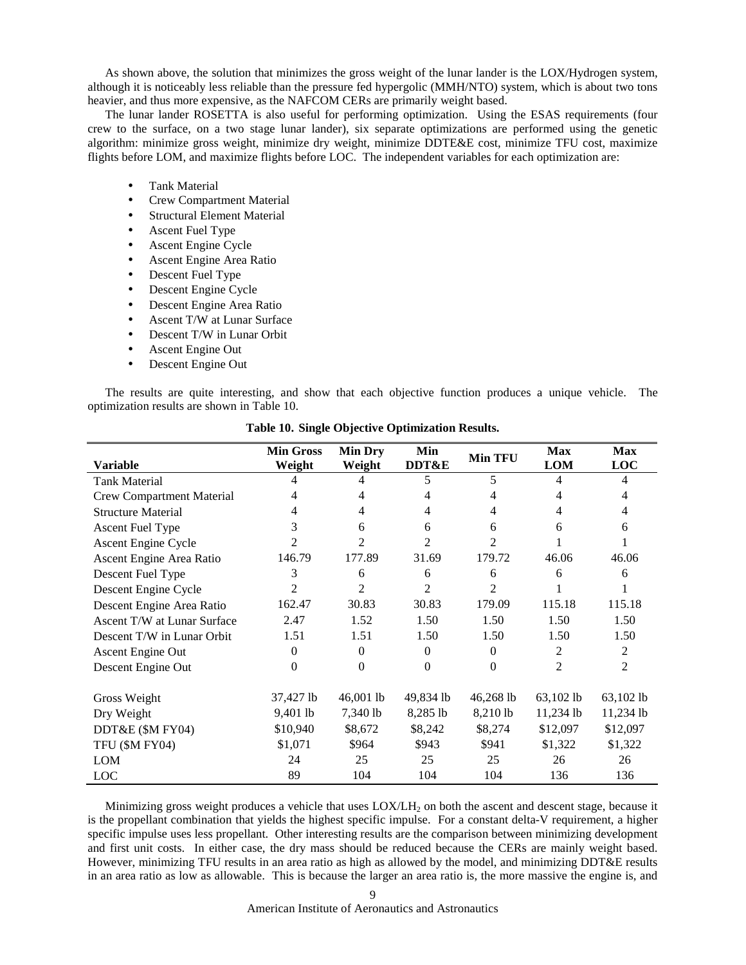As shown above, the solution that minimizes the gross weight of the lunar lander is the LOX/Hydrogen system, although it is noticeably less reliable than the pressure fed hypergolic (MMH/NTO) system, which is about two tons heavier, and thus more expensive, as the NAFCOM CERs are primarily weight based.

The lunar lander ROSETTA is also useful for performing optimization. Using the ESAS requirements (four crew to the surface, on a two stage lunar lander), six separate optimizations are performed using the genetic algorithm: minimize gross weight, minimize dry weight, minimize DDTE&E cost, minimize TFU cost, maximize flights before LOM, and maximize flights before LOC. The independent variables for each optimization are:

- Tank Material
- Crew Compartment Material
- **Structural Element Material**
- Ascent Fuel Type
- Ascent Engine Cycle
- Ascent Engine Area Ratio
- Descent Fuel Type
- Descent Engine Cycle
- Descent Engine Area Ratio
- Ascent T/W at Lunar Surface
- Descent T/W in Lunar Orbit
- Ascent Engine Out
- Descent Engine Out

The results are quite interesting, and show that each objective function produces a unique vehicle. The optimization results are shown in Table 10.

|                                  | <b>Min Gross</b> | <b>Min Dry</b><br>Weight | Min<br>DDT&E | <b>Min TFU</b> | <b>Max</b>     | <b>Max</b> |  |
|----------------------------------|------------------|--------------------------|--------------|----------------|----------------|------------|--|
| <b>Variable</b>                  | Weight           |                          |              |                | <b>LOM</b>     | LOC        |  |
| <b>Tank Material</b>             | 4                | 4                        | 5            | 5              | 4              | 4          |  |
| <b>Crew Compartment Material</b> | 4                | 4                        | 4            | 4              | 4              | 4          |  |
| <b>Structure Material</b>        | 4                | 4                        | 4            | 4              | 4              | 4          |  |
| <b>Ascent Fuel Type</b>          | 3                | 6                        | 6            | 6              | 6              | 6          |  |
| Ascent Engine Cycle              | $\overline{c}$   | $\mathfrak{D}$           | 2            | $\mathfrak{D}$ |                |            |  |
| Ascent Engine Area Ratio         | 146.79           | 177.89                   | 31.69        | 179.72         | 46.06          | 46.06      |  |
| Descent Fuel Type                | 3                | 6                        | 6            | 6              | 6              | 6          |  |
| Descent Engine Cycle             | 2                | $\mathfrak{D}$           | 2            | $\mathfrak{D}$ |                |            |  |
| Descent Engine Area Ratio        | 162.47           | 30.83                    | 30.83        | 179.09         | 115.18         | 115.18     |  |
| Ascent T/W at Lunar Surface      | 2.47             | 1.52                     | 1.50         | 1.50           | 1.50           | 1.50       |  |
| Descent T/W in Lunar Orbit       | 1.51             | 1.51                     | 1.50         | 1.50           | 1.50           | 1.50       |  |
| Ascent Engine Out                | $\Omega$         | $\Omega$                 | $\Omega$     | $\Omega$       | 2              | 2          |  |
| Descent Engine Out               | 0                | $\Omega$                 | $\mathbf{0}$ | $\Omega$       | $\overline{c}$ | 2          |  |
| Gross Weight                     | 37,427 lb        | 46,001 lb                | 49,834 lb    | 46,268 lb      | 63,102 lb      | 63,102 lb  |  |
| Dry Weight                       | 9,401 lb         | 7,340 lb                 | 8,285 lb     | 8,210 lb       | 11,234 lb      | 11,234 lb  |  |
| DDT&E (\$M FY04)                 | \$10,940         | \$8,672                  | \$8,242      | \$8,274        | \$12,097       | \$12,097   |  |
| TFU (\$M FY04)                   | \$1,071          | \$964                    | \$943        | \$941          | \$1,322        | \$1,322    |  |
| <b>LOM</b>                       | 24               | 25                       | 25           | 25             | 26             | 26         |  |
| <b>LOC</b>                       | 89               | 104                      | 104          | 104            | 136            | 136        |  |

**Table 10. Single Objective Optimization Results.**

Minimizing gross weight produces a vehicle that uses LOX/LH<sub>2</sub> on both the ascent and descent stage, because it is the propellant combination that yields the highest specific impulse. For a constant delta-V requirement, a higher specific impulse uses less propellant. Other interesting results are the comparison between minimizing development and first unit costs. In either case, the dry mass should be reduced because the CERs are mainly weight based. However, minimizing TFU results in an area ratio as high as allowed by the model, and minimizing DDT&E results in an area ratio as low as allowable. This is because the larger an area ratio is, the more massive the engine is, and